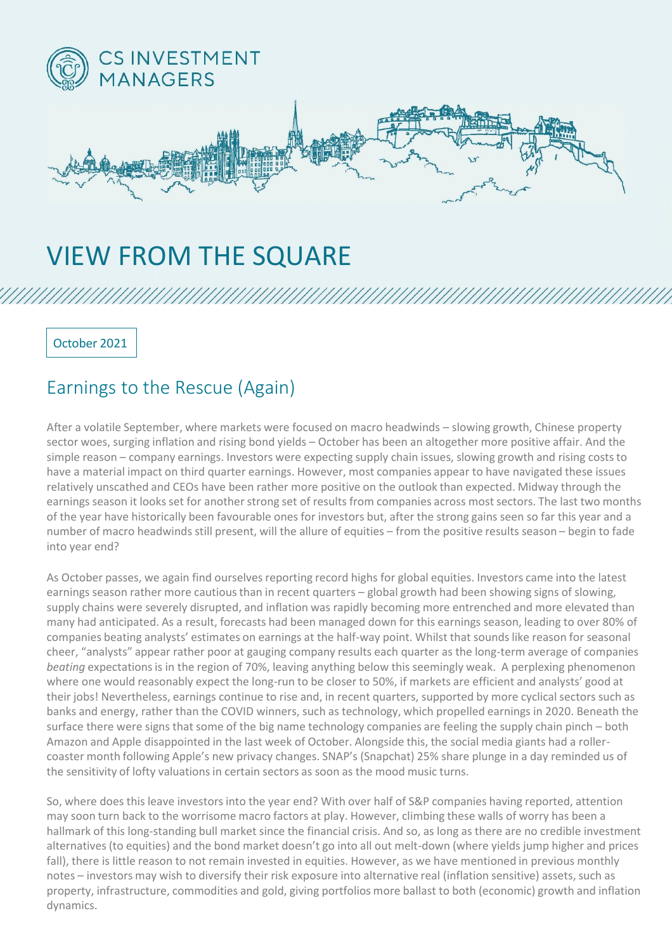

## VIEW FROM THE SQUARE

October 2021

## Earnings to the Rescue (Again)

After a volatile September, where markets were focused on macro headwinds – slowing growth, Chinese property sector woes, surging inflation and rising bond yields – October has been an altogether more positive affair. And the simple reason – company earnings. Investors were expecting supply chain issues, slowing growth and rising costs to have a material impact on third quarter earnings. However, most companies appear to have navigated these issues relatively unscathed and CEOs have been rather more positive on the outlook than expected. Midway through the earnings season it looks set for another strong set of results from companies across most sectors. The last two months of the year have historically been favourable ones for investors but, after the strong gains seen so far this year and a number of macro headwinds still present, will the allure of equities – from the positive results season – begin to fade into year end?

As October passes, we again find ourselves reporting record highs for global equities. Investors came into the latest earnings season rather more cautious than in recent quarters – global growth had been showing signs of slowing, supply chains were severely disrupted, and inflation was rapidly becoming more entrenched and more elevated than many had anticipated. As a result, forecasts had been managed down for this earnings season, leading to over 80% of companies beating analysts' estimates on earnings at the half-way point. Whilst that sounds like reason for seasonal cheer, "analysts" appear rather poor at gauging company results each quarter as the long-term average of companies *beating* expectations is in the region of 70%, leaving anything below this seemingly weak. A perplexing phenomenon where one would reasonably expect the long-run to be closer to 50%, if markets are efficient and analysts' good at their jobs! Nevertheless, earnings continue to rise and, in recent quarters, supported by more cyclical sectors such as banks and energy, rather than the COVID winners, such as technology, which propelled earnings in 2020. Beneath the surface there were signs that some of the big name technology companies are feeling the supply chain pinch – both Amazon and Apple disappointed in the last week of October. Alongside this, the social media giants had a rollercoaster month following Apple's new privacy changes. SNAP's (Snapchat) 25% share plunge in a day reminded us of the sensitivity of lofty valuations in certain sectors as soon as the mood music turns.

So, where does this leave investors into the year end? With over half of S&P companies having reported, attention may soon turn back to the worrisome macro factors at play. However, climbing these walls of worry has been a hallmark of this long-standing bull market since the financial crisis. And so, as long as there are no credible investment alternatives (to equities) and the bond market doesn't go into all out melt-down (where yields jump higher and prices fall), there is little reason to not remain invested in equities. However, as we have mentioned in previous monthly notes – investors may wish to diversify their risk exposure into alternative real (inflation sensitive) assets, such as property, infrastructure, commodities and gold, giving portfolios more ballast to both (economic) growth and inflation dynamics.